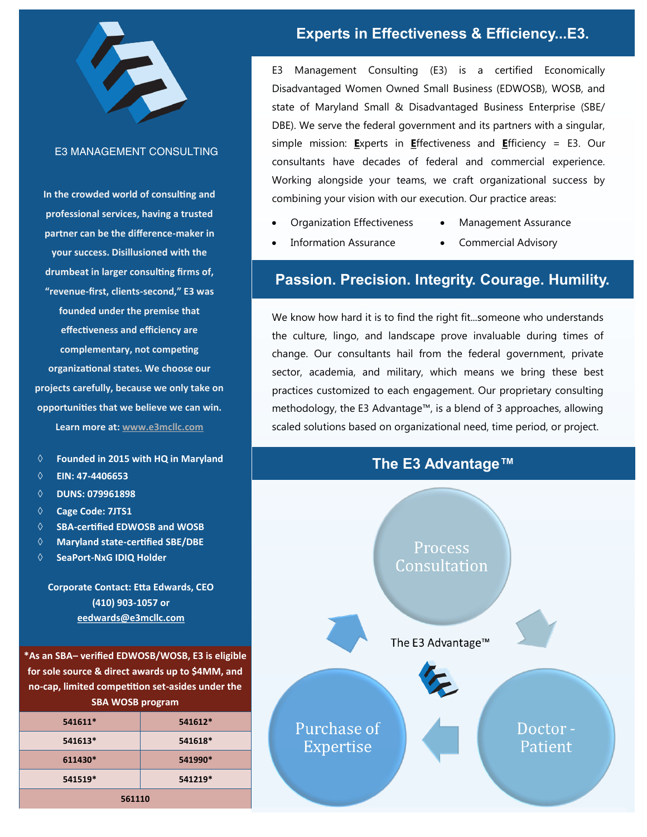

## E3 MANAGEMENT CONSULTING

**In the crowded world of consulting and professional services, having a trusted partner can be the difference-maker in your success. Disillusioned with the drumbeat in larger consulting firms of, "revenue-first, clients-second," E3 was founded under the premise that effectiveness and efficiency are complementary, not competing organizational states. We choose our projects carefully, because we only take on opportunities that we believe we can win. Learn more at: [www.e3mcllc.com](http://www.e3managementconsulting.com/)**

- 
- **EIN: 47-4406653**
- **DUNS: 079961898**
- **Cage Code: 7JTS1**
- **SBA-certified EDWOSB and WOSB**
- **Maryland state-certified SBE/DBE**
- **SeaPort-NxG IDIQ Holder**

**Corporate Contact: Etta Edwards, CEO (410) 903-1057 or eedwards@e3mcllc.com**

**\*As an SBA– verified EDWOSB/WOSB, E3 is eligible for sole source & direct awards up to \$4MM, and no-cap, limited competition set-asides under the SBA WOSB program**

| 541611* | 541612* |
|---------|---------|
| 541613* | 541618* |
| 611430* | 541990* |
| 541519* | 541219* |
| 561110  |         |

## Experts in Effectiveness & Efficiency...E3.

E3 Management Consulting (E3) is a certified Economically Disadvantaged Women Owned Small Business (EDWOSB), WOSB, and state of Maryland Small & Disadvantaged Business Enterprise (SBE/ DBE). We serve the federal government and its partners with a singular, simple mission: **E**xperts in **E**ffectiveness and **E**fficiency = E3. Our consultants have decades of federal and commercial experience. Working alongside your teams, we craft organizational success by combining your vision with our execution. Our practice areas:

- Organization Effectiveness Management Assurance
- Information Assurance Commercial Advisory
- 

## Passion. Precision. Integrity. Courage. Humility.

We know how hard it is to find the right fit...someone who understands the culture, lingo, and landscape prove invaluable during times of change. Our consultants hail from the federal government, private sector, academia, and military, which means we bring these best practices customized to each engagement. Our proprietary consulting methodology, the E3 Advantage™, is a blend of 3 approaches, allowing scaled solutions based on organizational need, time period, or project.